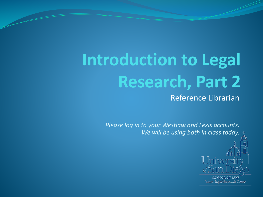## **Introduction to Legal Research, Part 2** Reference Librarian

*Please log in to your Westlaw and Lexis accounts. We will be using both in class today.*



Pardee Legal Research Center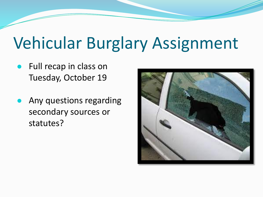# Vehicular Burglary Assignment

- Full recap in class on Tuesday, October 19
- Any questions regarding secondary sources or statutes?

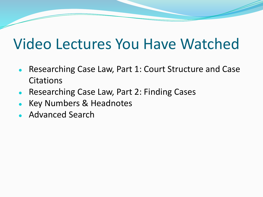#### Video Lectures You Have Watched

- Researching Case Law, Part 1: Court Structure and Case **Citations**
- Researching Case Law, Part 2: Finding Cases
- **Key Numbers & Headnotes**
- Advanced Search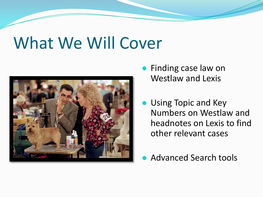## What We Will Cover



- Finding case law on Westlaw and Lexis
- Using Topic and Key Numbers on Westlaw and headnotes on Lexis to find other relevant cases
- **Advanced Search tools**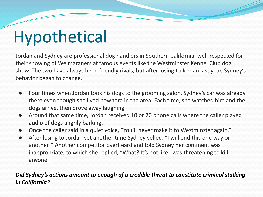# Hypothetical

Jordan and Sydney are professional dog handlers in Southern California, well-respected for their showing of Weimaraners at famous events like the Westminster Kennel Club dog show. The two have always been friendly rivals, but after losing to Jordan last year, Sydney's behavior began to change.

- Four times when Jordan took his dogs to the grooming salon, Sydney's car was already there even though she lived nowhere in the area. Each time, she watched him and the dogs arrive, then drove away laughing.
- Around that same time, Jordan received 10 or 20 phone calls where the caller played audio of dogs angrily barking.
- Once the caller said in a quiet voice, "You'll never make it to Westminster again."
- After losing to Jordan yet another time Sydney yelled, "I will end this one way or another!" Another competitor overheard and told Sydney her comment was inappropriate, to which she replied, "What? It's not like I was threatening to kill anyone."

#### *Did Sydney's actions amount to enough of a credible threat to constitute criminal stalking in California?*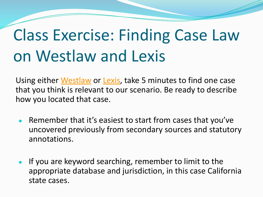# Class Exercise: Finding Case Law on Westlaw and Lexis

Using either [Westlaw](https://1.next.westlaw.com/Search/Home.html?transitionType=Default&contextData=(sc.Default)&bhcp=1) or [Lexis](https://plus.lexis.com/zhome?crid=993bf975-5630-436d-b101-c580e267de3f), take 5 minutes to find one case that you think is relevant to our scenario. Be ready to describe how you located that case.

- Remember that it's easiest to start from cases that you've uncovered previously from secondary sources and statutory annotations.
- If you are keyword searching, remember to limit to the appropriate database and jurisdiction, in this case California state cases.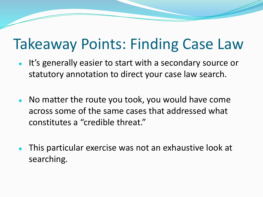### Takeaway Points: Finding Case Law

- It's generally easier to start with a secondary source or statutory annotation to direct your case law search.
- No matter the route you took, you would have come across some of the same cases that addressed what constitutes a "credible threat."
- This particular exercise was not an exhaustive look at searching.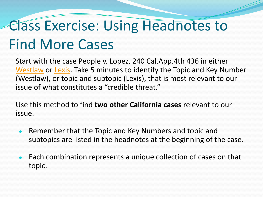## Class Exercise: Using Headnotes to Find More Cases

Start with the case People v. Lopez, 240 Cal.App.4th 436 in either [Westlaw](https://www.westlaw.com/Document/I41ae910058c111e580f3d2d5f43c7970/View/FullText.html?transitionType=Default&contextData=(sc.Default)&VR=3.0&RS=cblt1.0) or [Lexis](https://plus.lexis.com/api/permalink/188d26d7-84fb-494c-97c2-8999ffdf43fb/?context=1530671). Take 5 minutes to identify the Topic and Key Number (Westlaw), or topic and subtopic (Lexis), that is most relevant to our issue of what constitutes a "credible threat."

Use this method to find **two other California cases** relevant to our issue.

- Remember that the Topic and Key Numbers and topic and subtopics are listed in the headnotes at the beginning of the case.
- Each combination represents a unique collection of cases on that topic.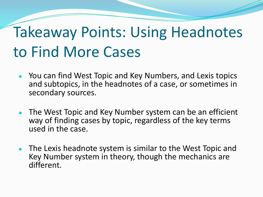## Takeaway Points: Using Headnotes to Find More Cases

- You can find West Topic and Key Numbers, and Lexis topics and subtopics, in the headnotes of a case, or sometimes in secondary sources.
- The West Topic and Key Number system can be an efficient way of finding cases by topic, regardless of the key terms used in the case.
- The Lexis headnote system is similar to the West Topic and Key Number system in theory, though the mechanics are different.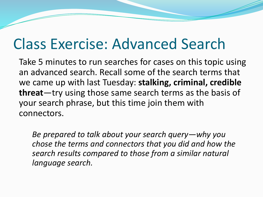### Class Exercise: Advanced Search

Take 5 minutes to run searches for cases on this topic using an advanced search. Recall some of the search terms that we came up with last Tuesday: **stalking, criminal, credible threat**—try using those same search terms as the basis of your search phrase, but this time join them with connectors.

*Be prepared to talk about your search query—why you chose the terms and connectors that you did and how the search results compared to those from a similar natural language search.*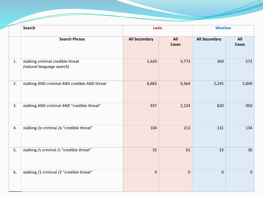|    | <b>Search</b>                                                  | <b>Lexis</b>         |                     | <b>Westlaw</b>       |                     |
|----|----------------------------------------------------------------|----------------------|---------------------|----------------------|---------------------|
|    | <b>Search Phrase</b>                                           | <b>All Secondary</b> | All<br><b>Cases</b> | <b>All Secondary</b> | All<br><b>Cases</b> |
| 1. | stalking criminal credible threat<br>(natural language search) | 1,620                | 3,773               | 369                  | 572                 |
| 2. | stalking AND criminal AND credible AND threat                  | 8,683                | 9,364               | 2,245                | 2,849               |
| 3. | stalking AND criminal AND "credible threat"                    | 937                  | 2,224               | 820                  | 950                 |
| 4. | stalking /p criminal /p "credible threat"                      | 104                  | 213                 | 131                  | 134                 |
| 5. | stalking /s criminal /s "credible threat"                      | 35                   | 61                  | 33                   | 30                  |
| 6. | stalking /2 criminal /2 "credible threat"                      | $\mathbf 0$          | $\mathbf 0$         | $\overline{0}$       | $\pmb{0}$           |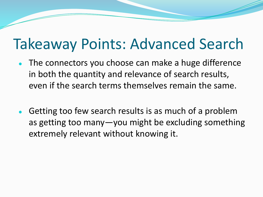#### Takeaway Points: Advanced Search

- The connectors you choose can make a huge difference in both the quantity and relevance of search results, even if the search terms themselves remain the same.
- Getting too few search results is as much of a problem as getting too many—you might be excluding something extremely relevant without knowing it.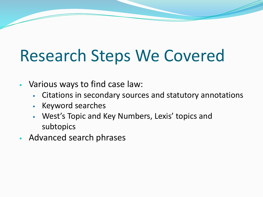# Research Steps We Covered

- Various ways to find case law:
	- Citations in secondary sources and statutory annotations
	- Keyword searches
	- West's Topic and Key Numbers, Lexis' topics and subtopics
- Advanced search phrases